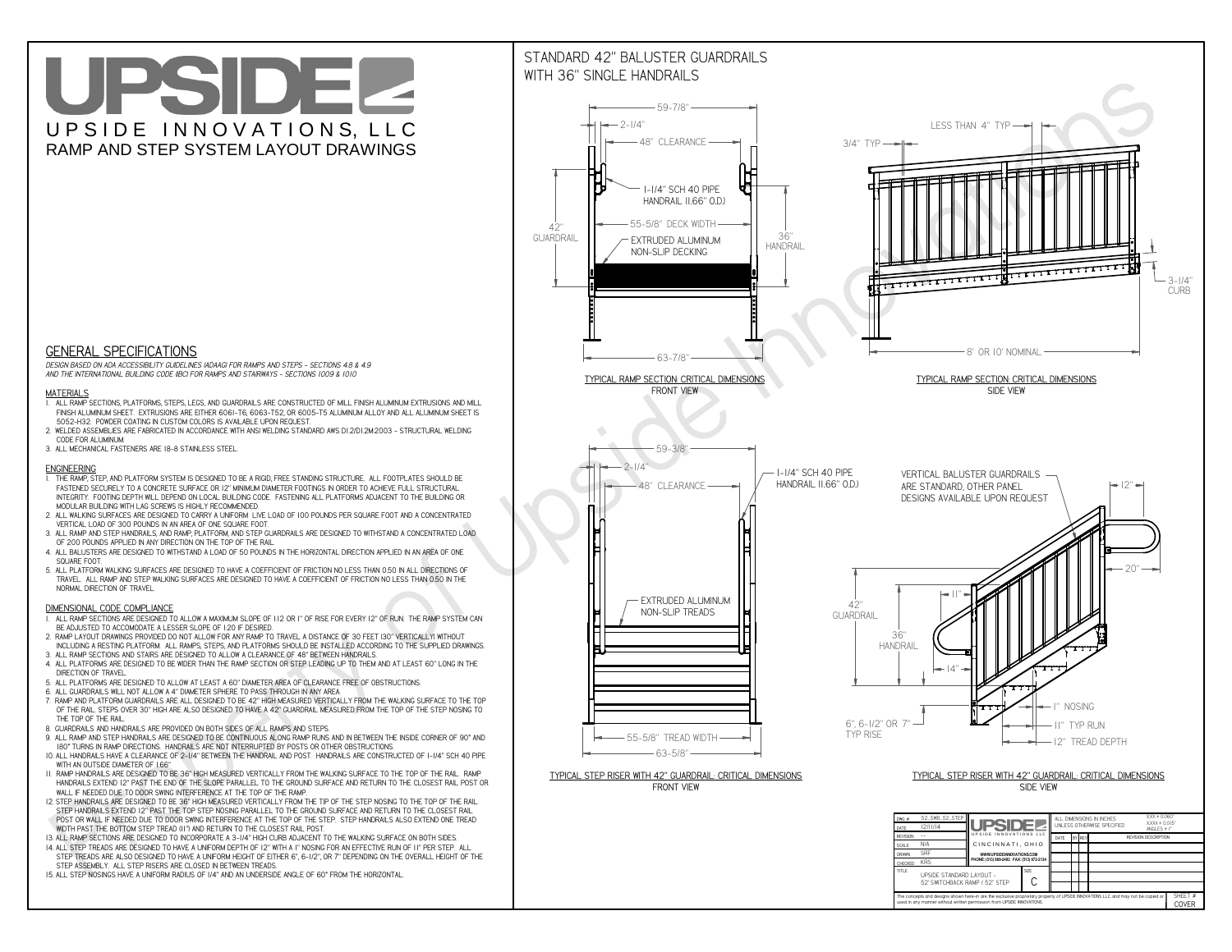**C**The concepts and designs shown here-in are the exclusive proprietary property of UPSIDE INNOVATIONS LLC. and may not be copied o

**I** 

**used in any manner without written permission from UPSIDE INNOVATIONS.**

# UPSIDEL UPSIDE INNOVATIONS, LLC RAMP AND STEP SYSTEM LAYOUT DRAWINGS

SHEET #**COVER**

52' SWITCHBACK RAMP / 52" STEP



# WITH 36" SINGLE HANDRAILS



 *DESIGN BASED ON ADA ACCESSIBILITY GUIDELINES (ADAAG) FOR RAMPS AND STEPS - SECTIONS 4.8 & 4.9AND THE INTERNATIONAL BUILDING CODE (IBC) FOR RAMPS AND STAIRWAYS - SECTIONS 1009 & 1010*

### **MATERIALS**

- **1. ALL RAMP SECTIONS, PLATFORMS, STEPS, LEGS, AND GUARDRAILS ARE CONSTRUCTED OF MILL FINISH ALUMINUM EXTRUSIONS AND MILL FINISH ALUMINUM SHEET. EXTRUSIONS ARE EITHER 6061-T6, 6063-T52, OR 6005-T5 ALUMINUM ALLOY AND ALL ALUMINUM SHEET IS 5052-H32. POWDER COATING IN CUSTOM COLORS IS AVAILABLE UPON REQUEST.**
- **2. WELDED ASSEMBLIES ARE FABRICATED IN ACCORDANCE WITH ANSI WELDING STANDARD AWS D1.2/D1.2M:2003 STRUCTURAL WELDING CODE FOR ALUMINUM.**
- **3. ALL MECHANICAL FASTENERS ARE 18-8 STAINLESS STEEL.**

#### **ENGINEERING**

- **1. THE RAMP, STEP, AND PLATFORM SYSTEM IS DESIGNED TO BE A RIGID, FREE STANDING STRUCTURE. ALL FOOTPLATES SHOULD BE FASTENED SECURELY TO A CONCRETE SURFACE OR 12" MINIMUM DIAMETER FOOTINGS IN ORDER TO ACHIEVE FULL STRUCTURAL INTEGRITY. FOOTING DEPTH WILL DEPEND ON LOCAL BUILDING CODE. FASTENING ALL PLATFORMS ADJACENT TO THE BUILDING OR MODULAR BUILDING WITH LAG SCREWS IS HIGHLY RECOMMENDED.**
- **2. ALL WALKING SURFACES ARE DESIGNED TO CARRY A UNIFORM LIVE LOAD OF 100 POUNDS PER SQUARE FOOT AND A CONCENTRATED VERTICAL LOAD OF 300 POUNDS IN AN AREA OF ONE SQUARE FOOT.**
- **3. ALL RAMP AND STEP HANDRAILS, AND RAMP, PLATFORM, AND STEP GUARDRAILS ARE DESIGNED TO WITHSTAND A CONCENTRATED LOAD OF 200 POUNDS APPLIED IN ANY DIRECTION ON THE TOP OF THE RAIL.**
- **4. ALL BALUSTERS ARE DESIGNED TO WITHSTAND A LOAD OF 50 POUNDS IN THE HORIZONTAL DIRECTION APPLIED IN AN AREA OF ONE SQUARE FOOT.**
- **5. ALL PLATFORM WALKING SURFACES ARE DESIGNED TO HAVE A COEFFICIENT OF FRICTION NO LESS THAN 0.50 IN ALL DIRECTIONS OF TRAVEL. ALL RAMP AND STEP WALKING SURFACES ARE DESIGNED TO HAVE A COEFFICIENT OF FRICTION NO LESS THAN 0.50 IN THE NORMAL DIRECTION OF TRAVEL.**

### **DIMENSIONAL CODE COMPLIANCE**

- **1. ALL RAMP SECTIONS ARE DESIGNED TO ALLOW A MAXIMUM SLOPE OF 1:12 OR 1" OF RISE FOR EVERY 12" OF RUN. THE RAMP SYSTEM CAN BE ADJUSTED TO ACCOMODATE A LESSER SLOPE OF 1:20 IF DESIRED.**
- **2. RAMP LAYOUT DRAWINGS PROVIDED DO NOT ALLOW FOR ANY RAMP TO TRAVEL A DISTANCE OF 30 FEET (30" VERTICALLY) WITHOUT INCLUDING A RESTING PLATFORM. ALL RAMPS, STEPS, AND PLATFORMS SHOULD BE INSTALLED ACCORDING TO THE SUPPLIED DRAWINGS.**
- **3. ALL RAMP SECTIONS AND STAIRS ARE DESIGNED TO ALLOW A CLEARANCE OF 48" BETWEEN HANDRAILS.**
- **4. ALL PLATFORMS ARE DESIGNED TO BE WIDER THAN THE RAMP SECTION OR STEP LEADING UP TO THEM AND AT LEAST 60" LONG IN THE DIRECTION OF TRAVEL.**
- **5. ALL PLATFORMS ARE DESIGNED TO ALLOW AT LEAST A 60" DIAMETER AREA OF CLEARANCE FREE OF OBSTRUCTIONS.**
- **6. ALL GUARDRAILS WILL NOT ALLOW A 4" DIAMETER SPHERE TO PASS THROUGH IN ANY AREA.**
- **7. RAMP AND PLATFORM GUARDRAILS ARE ALL DESIGNED TO BE 42" HIGH MEASURED VERTICALLY FROM THE WALKING SURFACE TO THE TOP OF THE RAIL. STEPS OVER 30" HIGH ARE ALSO DESIGNED TO HAVE A 42" GUARDRAIL MEASURED FROM THE TOP OF THE STEP NOSING TO THE TOP OF THE RAIL.**
- **8. GUARDRAILS AND HANDRAILS ARE PROVIDED ON BOTH SIDES OF ALL RAMPS AND STEPS.**
- **9. ALL RAMP AND STEP HANDRAILS ARE DESIGNED TO BE CONTINUOUS ALONG RAMP RUNS AND IN BETWEEN THE INSIDE CORNER OF 90° AND 180° TURNS IN RAMP DIRECTIONS. HANDRAILS ARE NOT INTERRUPTED BY POSTS OR OTHER OBSTRUCTIONS.**
- **10. ALL HANDRAILS HAVE A CLEARANCE OF 2-1/4" BETWEEN THE HANDRAIL AND POST. HANDRAILS ARE CONSTRUCTED OF 1-1/4" SCH 40 PIPE WITH AN OUTSIDE DIAMETER OF 1.66"**
- **11. RAMP HANDRAILS ARE DESIGNED TO BE 36" HIGH MEASURED VERTICALLY FROM THE WALKING SURFACE TO THE TOP OF THE RAIL. RAMP HANDRAILS EXTEND 12" PAST THE END OF THE SLOPE PARALLEL TO THE GROUND SURFACE AND RETURN TO THE CLOSEST RAIL POST OR WALL IF NEEDED DUE TO DOOR SWING INTERFERENCE AT THE TOP OF THE RAMP.**
- **12. STEP HANDRAILS ARE DESIGNED TO BE 36" HIGH MEASURED VERTICALLY FROM THE TIP OF THE STEP NOSING TO THE TOP OF THE RAIL. STEP HANDRAILS EXTEND 12" PAST THE TOP STEP NOSING PARALLEL TO THE GROUND SURFACE AND RETURN TO THE CLOSEST RAIL POST OR WALL IF NEEDED DUE TO DOOR SWING INTERFERENCE AT THE TOP OF THE STEP. STEP HANDRAILS ALSO EXTEND ONE TREAD WIDTH PAST THE BOTTOM STEP TREAD (11") AND RETURN TO THE CLOSEST RAIL POST.**
- **13. ALL RAMP SECTIONS ARE DESIGNED TO INCORPORATE A 3-1/4" HIGH CURB ADJACENT TO THE WALKING SURFACE ON BOTH SIDES.**
- **14. ALL STEP TREADS ARE DESIGNED TO HAVE A UNIFORM DEPTH OF 12" WITH A 1" NOSING FOR AN EFFECTIVE RUN OF 11" PER STEP. ALL**
- **STEP TREADS ARE ALSO DESIGNED TO HAVE A UNIFORM HEIGHT OF EITHER 6", 6-1/2", OR 7" DEPENDING ON THE OVERALL HEIGHT OF THE STEP ASSEMBLY. ALL STEP RISERS ARE CLOSED IN BETWEEN TREADS.**
- **15. ALL STEP NOSINGS HAVE A UNIFORM RADIUS OF 1/4" AND AN UNDERSIDE ANGLE OF 60° FROM THE HORIZONTAL.**